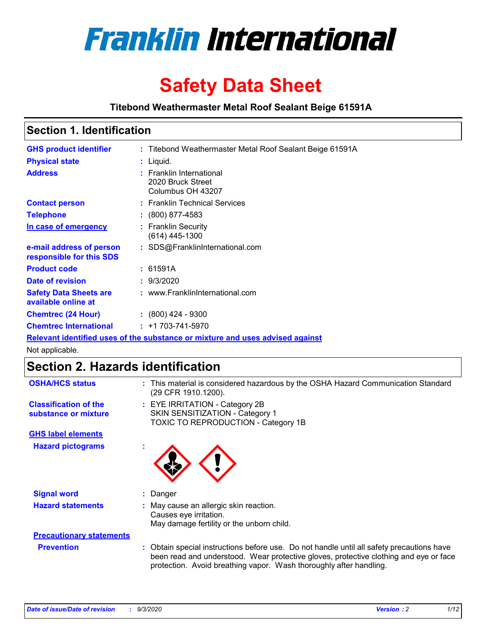

# **Safety Data Sheet**

**Titebond Weathermaster Metal Roof Sealant Beige 61591A**

### **Section 1. Identification**

| <b>GHS product identifier</b>                                                 |  | : Titebond Weathermaster Metal Roof Sealant Beige 61591A           |  |
|-------------------------------------------------------------------------------|--|--------------------------------------------------------------------|--|
| <b>Physical state</b>                                                         |  | : Liquid.                                                          |  |
| <b>Address</b>                                                                |  | : Franklin International<br>2020 Bruck Street<br>Columbus OH 43207 |  |
| <b>Contact person</b>                                                         |  | : Franklin Technical Services                                      |  |
| <b>Telephone</b>                                                              |  | $\div$ (800) 877-4583                                              |  |
| In case of emergency                                                          |  | : Franklin Security<br>$(614)$ 445-1300                            |  |
| e-mail address of person<br>responsible for this SDS                          |  | : SDS@FranklinInternational.com                                    |  |
| <b>Product code</b>                                                           |  | : 61591A                                                           |  |
| Date of revision                                                              |  | : 9/3/2020                                                         |  |
| <b>Safety Data Sheets are</b><br>available online at                          |  | : www.FranklinInternational.com                                    |  |
| <b>Chemtrec (24 Hour)</b>                                                     |  | $\div$ (800) 424 - 9300                                            |  |
| <b>Chemtrec International</b>                                                 |  | $: +1703 - 741 - 5970$                                             |  |
| Relevant identified uses of the substance or mixture and uses advised against |  |                                                                    |  |

Not applicable.

# **Section 2. Hazards identification**

| <b>OSHA/HCS status</b>                               | : This material is considered hazardous by the OSHA Hazard Communication Standard<br>(29 CFR 1910.1200).                                                                                                                                                 |  |  |
|------------------------------------------------------|----------------------------------------------------------------------------------------------------------------------------------------------------------------------------------------------------------------------------------------------------------|--|--|
| <b>Classification of the</b><br>substance or mixture | : EYE IRRITATION - Category 2B<br>SKIN SENSITIZATION - Category 1<br>TOXIC TO REPRODUCTION - Category 1B                                                                                                                                                 |  |  |
| <b>GHS label elements</b>                            |                                                                                                                                                                                                                                                          |  |  |
| <b>Hazard pictograms</b>                             |                                                                                                                                                                                                                                                          |  |  |
| <b>Signal word</b>                                   | : Danger                                                                                                                                                                                                                                                 |  |  |
| <b>Hazard statements</b>                             | : May cause an allergic skin reaction.<br>Causes eye irritation.<br>May damage fertility or the unborn child.                                                                                                                                            |  |  |
| <b>Precautionary statements</b>                      |                                                                                                                                                                                                                                                          |  |  |
| <b>Prevention</b>                                    | : Obtain special instructions before use. Do not handle until all safety precautions have<br>been read and understood. Wear protective gloves, protective clothing and eye or face<br>protection. Avoid breathing vapor. Wash thoroughly after handling. |  |  |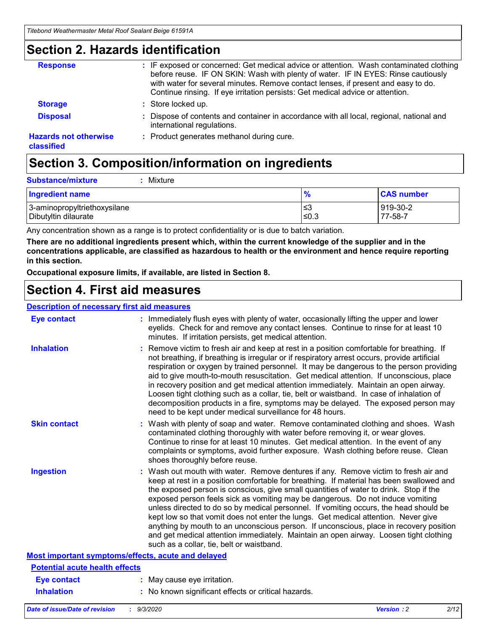### **Section 2. Hazards identification**

| <b>Response</b>                            | : IF exposed or concerned: Get medical advice or attention. Wash contaminated clothing<br>before reuse. IF ON SKIN: Wash with plenty of water. IF IN EYES: Rinse cautiously<br>with water for several minutes. Remove contact lenses, if present and easy to do.<br>Continue rinsing. If eye irritation persists: Get medical advice or attention. |
|--------------------------------------------|----------------------------------------------------------------------------------------------------------------------------------------------------------------------------------------------------------------------------------------------------------------------------------------------------------------------------------------------------|
| <b>Storage</b>                             | : Store locked up.                                                                                                                                                                                                                                                                                                                                 |
| <b>Disposal</b>                            | : Dispose of contents and container in accordance with all local, regional, national and<br>international regulations.                                                                                                                                                                                                                             |
| <b>Hazards not otherwise</b><br>classified | : Product generates methanol during cure.                                                                                                                                                                                                                                                                                                          |

# **Section 3. Composition/information on ingredients**

| <b>Substance/mixture</b> | $:$ Mixture |
|--------------------------|-------------|
|                          |             |

| <b>Ingredient name</b>       | 70   | <b>CAS number</b> |
|------------------------------|------|-------------------|
| 3-aminopropyltriethoxysilane | צ≥   | 919-30-2          |
| Dibutyltin dilaurate         | ≤0.3 | 77-58-7           |

Any concentration shown as a range is to protect confidentiality or is due to batch variation.

**There are no additional ingredients present which, within the current knowledge of the supplier and in the concentrations applicable, are classified as hazardous to health or the environment and hence require reporting in this section.**

**Occupational exposure limits, if available, are listed in Section 8.**

### **Section 4. First aid measures**

| <b>Description of necessary first aid measures</b> |                                                                                                                                                                                                                                                                                                                                                                                                                                                                                                                                                                                                                                                                                                                                                                           |
|----------------------------------------------------|---------------------------------------------------------------------------------------------------------------------------------------------------------------------------------------------------------------------------------------------------------------------------------------------------------------------------------------------------------------------------------------------------------------------------------------------------------------------------------------------------------------------------------------------------------------------------------------------------------------------------------------------------------------------------------------------------------------------------------------------------------------------------|
| <b>Eye contact</b>                                 | : Immediately flush eyes with plenty of water, occasionally lifting the upper and lower<br>eyelids. Check for and remove any contact lenses. Continue to rinse for at least 10<br>minutes. If irritation persists, get medical attention.                                                                                                                                                                                                                                                                                                                                                                                                                                                                                                                                 |
| <b>Inhalation</b>                                  | : Remove victim to fresh air and keep at rest in a position comfortable for breathing. If<br>not breathing, if breathing is irregular or if respiratory arrest occurs, provide artificial<br>respiration or oxygen by trained personnel. It may be dangerous to the person providing<br>aid to give mouth-to-mouth resuscitation. Get medical attention. If unconscious, place<br>in recovery position and get medical attention immediately. Maintain an open airway.<br>Loosen tight clothing such as a collar, tie, belt or waistband. In case of inhalation of<br>decomposition products in a fire, symptoms may be delayed. The exposed person may<br>need to be kept under medical surveillance for 48 hours.                                                       |
| <b>Skin contact</b>                                | : Wash with plenty of soap and water. Remove contaminated clothing and shoes. Wash<br>contaminated clothing thoroughly with water before removing it, or wear gloves.<br>Continue to rinse for at least 10 minutes. Get medical attention. In the event of any<br>complaints or symptoms, avoid further exposure. Wash clothing before reuse. Clean<br>shoes thoroughly before reuse.                                                                                                                                                                                                                                                                                                                                                                                     |
| <b>Ingestion</b>                                   | : Wash out mouth with water. Remove dentures if any. Remove victim to fresh air and<br>keep at rest in a position comfortable for breathing. If material has been swallowed and<br>the exposed person is conscious, give small quantities of water to drink. Stop if the<br>exposed person feels sick as vomiting may be dangerous. Do not induce vomiting<br>unless directed to do so by medical personnel. If vomiting occurs, the head should be<br>kept low so that vomit does not enter the lungs. Get medical attention. Never give<br>anything by mouth to an unconscious person. If unconscious, place in recovery position<br>and get medical attention immediately. Maintain an open airway. Loosen tight clothing<br>such as a collar, tie, belt or waistband. |
| Most important symptoms/effects, acute and delayed |                                                                                                                                                                                                                                                                                                                                                                                                                                                                                                                                                                                                                                                                                                                                                                           |
| <b>Potential acute health effects</b>              |                                                                                                                                                                                                                                                                                                                                                                                                                                                                                                                                                                                                                                                                                                                                                                           |
| <b>Eye contact</b>                                 | : May cause eye irritation.                                                                                                                                                                                                                                                                                                                                                                                                                                                                                                                                                                                                                                                                                                                                               |
| <b>Inhalation</b>                                  | : No known significant effects or critical hazards.                                                                                                                                                                                                                                                                                                                                                                                                                                                                                                                                                                                                                                                                                                                       |
|                                                    |                                                                                                                                                                                                                                                                                                                                                                                                                                                                                                                                                                                                                                                                                                                                                                           |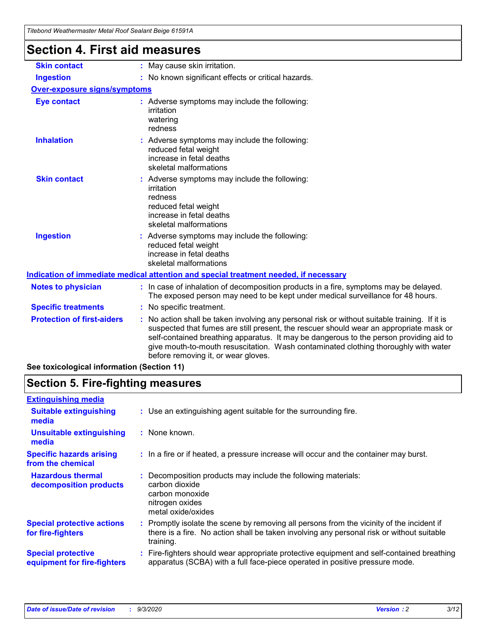| Titebond Weathermaster Metal Roof Sealant Beige 61591A |                                                                                                                                                                                                                                                                                                                                                                                                               |  |  |
|--------------------------------------------------------|---------------------------------------------------------------------------------------------------------------------------------------------------------------------------------------------------------------------------------------------------------------------------------------------------------------------------------------------------------------------------------------------------------------|--|--|
| <b>Section 4. First aid measures</b>                   |                                                                                                                                                                                                                                                                                                                                                                                                               |  |  |
| <b>Skin contact</b>                                    | : May cause skin irritation.                                                                                                                                                                                                                                                                                                                                                                                  |  |  |
| <b>Ingestion</b>                                       | : No known significant effects or critical hazards.                                                                                                                                                                                                                                                                                                                                                           |  |  |
| Over-exposure signs/symptoms                           |                                                                                                                                                                                                                                                                                                                                                                                                               |  |  |
| <b>Eye contact</b>                                     | : Adverse symptoms may include the following:<br>irritation<br>watering<br>redness                                                                                                                                                                                                                                                                                                                            |  |  |
| <b>Inhalation</b>                                      | : Adverse symptoms may include the following:<br>reduced fetal weight<br>increase in fetal deaths<br>skeletal malformations                                                                                                                                                                                                                                                                                   |  |  |
| <b>Skin contact</b>                                    | Adverse symptoms may include the following:<br>irritation<br>redness<br>reduced fetal weight<br>increase in fetal deaths<br>skeletal malformations                                                                                                                                                                                                                                                            |  |  |
| <b>Ingestion</b>                                       | : Adverse symptoms may include the following:<br>reduced fetal weight<br>increase in fetal deaths<br>skeletal malformations                                                                                                                                                                                                                                                                                   |  |  |
|                                                        | Indication of immediate medical attention and special treatment needed, if necessary                                                                                                                                                                                                                                                                                                                          |  |  |
| <b>Notes to physician</b>                              | : In case of inhalation of decomposition products in a fire, symptoms may be delayed.<br>The exposed person may need to be kept under medical surveillance for 48 hours.                                                                                                                                                                                                                                      |  |  |
| <b>Specific treatments</b>                             | : No specific treatment.                                                                                                                                                                                                                                                                                                                                                                                      |  |  |
| <b>Protection of first-aiders</b>                      | No action shall be taken involving any personal risk or without suitable training. If it is<br>suspected that fumes are still present, the rescuer should wear an appropriate mask or<br>self-contained breathing apparatus. It may be dangerous to the person providing aid to<br>give mouth-to-mouth resuscitation. Wash contaminated clothing thoroughly with water<br>before removing it, or wear gloves. |  |  |

**See toxicological information (Section 11)**

## **Section 5. Fire-fighting measures**

| <b>Extinguishing media</b>                               |                                                                                                                                                                                                   |
|----------------------------------------------------------|---------------------------------------------------------------------------------------------------------------------------------------------------------------------------------------------------|
| <b>Suitable extinguishing</b><br>media                   | : Use an extinguishing agent suitable for the surrounding fire.                                                                                                                                   |
| <b>Unsuitable extinguishing</b><br>media                 | : None known.                                                                                                                                                                                     |
| <b>Specific hazards arising</b><br>from the chemical     | : In a fire or if heated, a pressure increase will occur and the container may burst.                                                                                                             |
| <b>Hazardous thermal</b><br>decomposition products       | Decomposition products may include the following materials:<br>carbon dioxide<br>carbon monoxide<br>nitrogen oxides<br>metal oxide/oxides                                                         |
| <b>Special protective actions</b><br>for fire-fighters   | Promptly isolate the scene by removing all persons from the vicinity of the incident if<br>there is a fire. No action shall be taken involving any personal risk or without suitable<br>training. |
| <b>Special protective</b><br>equipment for fire-fighters | Fire-fighters should wear appropriate protective equipment and self-contained breathing<br>apparatus (SCBA) with a full face-piece operated in positive pressure mode.                            |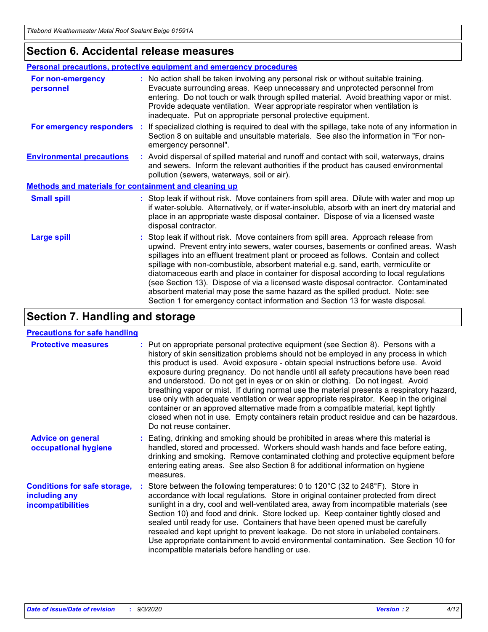### **Section 6. Accidental release measures**

|                                                              | <b>Personal precautions, protective equipment and emergency procedures</b>                                                                                                                                                                                                                                                                                                                                                                                                                                                                                                                                                                                                                                   |  |  |  |
|--------------------------------------------------------------|--------------------------------------------------------------------------------------------------------------------------------------------------------------------------------------------------------------------------------------------------------------------------------------------------------------------------------------------------------------------------------------------------------------------------------------------------------------------------------------------------------------------------------------------------------------------------------------------------------------------------------------------------------------------------------------------------------------|--|--|--|
| For non-emergency<br>personnel                               | : No action shall be taken involving any personal risk or without suitable training.<br>Evacuate surrounding areas. Keep unnecessary and unprotected personnel from<br>entering. Do not touch or walk through spilled material. Avoid breathing vapor or mist.<br>Provide adequate ventilation. Wear appropriate respirator when ventilation is<br>inadequate. Put on appropriate personal protective equipment.                                                                                                                                                                                                                                                                                             |  |  |  |
| For emergency responders                                     | : If specialized clothing is required to deal with the spillage, take note of any information in<br>Section 8 on suitable and unsuitable materials. See also the information in "For non-<br>emergency personnel".                                                                                                                                                                                                                                                                                                                                                                                                                                                                                           |  |  |  |
| <b>Environmental precautions</b>                             | : Avoid dispersal of spilled material and runoff and contact with soil, waterways, drains<br>and sewers. Inform the relevant authorities if the product has caused environmental<br>pollution (sewers, waterways, soil or air).                                                                                                                                                                                                                                                                                                                                                                                                                                                                              |  |  |  |
| <b>Methods and materials for containment and cleaning up</b> |                                                                                                                                                                                                                                                                                                                                                                                                                                                                                                                                                                                                                                                                                                              |  |  |  |
| <b>Small spill</b>                                           | : Stop leak if without risk. Move containers from spill area. Dilute with water and mop up<br>if water-soluble. Alternatively, or if water-insoluble, absorb with an inert dry material and<br>place in an appropriate waste disposal container. Dispose of via a licensed waste<br>disposal contractor.                                                                                                                                                                                                                                                                                                                                                                                                     |  |  |  |
| <b>Large spill</b>                                           | : Stop leak if without risk. Move containers from spill area. Approach release from<br>upwind. Prevent entry into sewers, water courses, basements or confined areas. Wash<br>spillages into an effluent treatment plant or proceed as follows. Contain and collect<br>spillage with non-combustible, absorbent material e.g. sand, earth, vermiculite or<br>diatomaceous earth and place in container for disposal according to local regulations<br>(see Section 13). Dispose of via a licensed waste disposal contractor. Contaminated<br>absorbent material may pose the same hazard as the spilled product. Note: see<br>Section 1 for emergency contact information and Section 13 for waste disposal. |  |  |  |

## **Section 7. Handling and storage**

#### **Precautions for safe handling**

| <b>Protective measures</b>                                                       | : Put on appropriate personal protective equipment (see Section 8). Persons with a<br>history of skin sensitization problems should not be employed in any process in which<br>this product is used. Avoid exposure - obtain special instructions before use. Avoid<br>exposure during pregnancy. Do not handle until all safety precautions have been read<br>and understood. Do not get in eyes or on skin or clothing. Do not ingest. Avoid<br>breathing vapor or mist. If during normal use the material presents a respiratory hazard,<br>use only with adequate ventilation or wear appropriate respirator. Keep in the original<br>container or an approved alternative made from a compatible material, kept tightly<br>closed when not in use. Empty containers retain product residue and can be hazardous.<br>Do not reuse container. |
|----------------------------------------------------------------------------------|--------------------------------------------------------------------------------------------------------------------------------------------------------------------------------------------------------------------------------------------------------------------------------------------------------------------------------------------------------------------------------------------------------------------------------------------------------------------------------------------------------------------------------------------------------------------------------------------------------------------------------------------------------------------------------------------------------------------------------------------------------------------------------------------------------------------------------------------------|
| <b>Advice on general</b><br>occupational hygiene                                 | : Eating, drinking and smoking should be prohibited in areas where this material is<br>handled, stored and processed. Workers should wash hands and face before eating,<br>drinking and smoking. Remove contaminated clothing and protective equipment before<br>entering eating areas. See also Section 8 for additional information on hygiene<br>measures.                                                                                                                                                                                                                                                                                                                                                                                                                                                                                    |
| <b>Conditions for safe storage,</b><br>including any<br><i>incompatibilities</i> | Store between the following temperatures: 0 to 120°C (32 to 248°F). Store in<br>accordance with local regulations. Store in original container protected from direct<br>sunlight in a dry, cool and well-ventilated area, away from incompatible materials (see<br>Section 10) and food and drink. Store locked up. Keep container tightly closed and<br>sealed until ready for use. Containers that have been opened must be carefully<br>resealed and kept upright to prevent leakage. Do not store in unlabeled containers.<br>Use appropriate containment to avoid environmental contamination. See Section 10 for<br>incompatible materials before handling or use.                                                                                                                                                                         |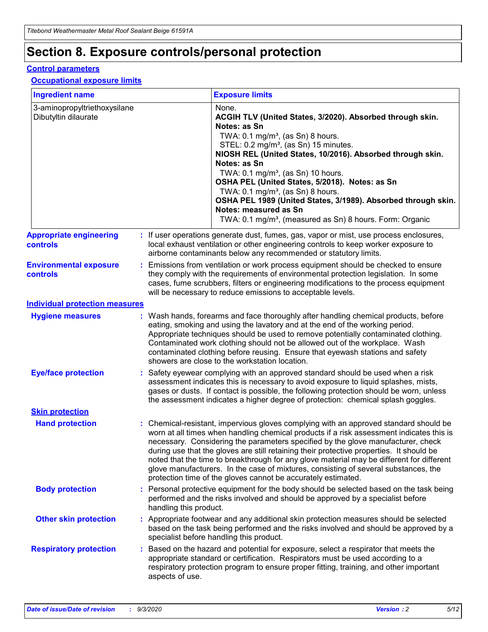# **Section 8. Exposure controls/personal protection**

#### **Control parameters**

#### **Occupational exposure limits**

| <b>Ingredient name</b>                               |    |                        | <b>Exposure limits</b>                                                                                                                                                                                                                                                                                                                                                                                                                                                                                                                                                                                                 |
|------------------------------------------------------|----|------------------------|------------------------------------------------------------------------------------------------------------------------------------------------------------------------------------------------------------------------------------------------------------------------------------------------------------------------------------------------------------------------------------------------------------------------------------------------------------------------------------------------------------------------------------------------------------------------------------------------------------------------|
| 3-aminopropyltriethoxysilane<br>Dibutyltin dilaurate |    |                        | None.<br>ACGIH TLV (United States, 3/2020). Absorbed through skin.<br>Notes: as Sn<br>TWA: $0.1 \text{ mg/m}^3$ , (as Sn) 8 hours.<br>STEL: 0.2 mg/m <sup>3</sup> , (as Sn) 15 minutes.<br>NIOSH REL (United States, 10/2016). Absorbed through skin.<br>Notes: as Sn<br>TWA: 0.1 mg/m <sup>3</sup> , (as Sn) 10 hours.<br>OSHA PEL (United States, 5/2018). Notes: as Sn<br>TWA: 0.1 mg/m <sup>3</sup> , (as Sn) 8 hours.<br>OSHA PEL 1989 (United States, 3/1989). Absorbed through skin.<br>Notes: measured as Sn<br>TWA: 0.1 mg/m <sup>3</sup> , (measured as Sn) 8 hours. Form: Organic                           |
| <b>Appropriate engineering</b><br>controls           |    |                        | : If user operations generate dust, fumes, gas, vapor or mist, use process enclosures,<br>local exhaust ventilation or other engineering controls to keep worker exposure to<br>airborne contaminants below any recommended or statutory limits.                                                                                                                                                                                                                                                                                                                                                                       |
| <b>Environmental exposure</b><br>controls            |    |                        | Emissions from ventilation or work process equipment should be checked to ensure<br>they comply with the requirements of environmental protection legislation. In some<br>cases, fume scrubbers, filters or engineering modifications to the process equipment<br>will be necessary to reduce emissions to acceptable levels.                                                                                                                                                                                                                                                                                          |
| <b>Individual protection measures</b>                |    |                        |                                                                                                                                                                                                                                                                                                                                                                                                                                                                                                                                                                                                                        |
| <b>Hygiene measures</b>                              |    |                        | : Wash hands, forearms and face thoroughly after handling chemical products, before<br>eating, smoking and using the lavatory and at the end of the working period.<br>Appropriate techniques should be used to remove potentially contaminated clothing.<br>Contaminated work clothing should not be allowed out of the workplace. Wash<br>contaminated clothing before reusing. Ensure that eyewash stations and safety<br>showers are close to the workstation location.                                                                                                                                            |
| <b>Eye/face protection</b>                           |    |                        | Safety eyewear complying with an approved standard should be used when a risk<br>assessment indicates this is necessary to avoid exposure to liquid splashes, mists,<br>gases or dusts. If contact is possible, the following protection should be worn, unless<br>the assessment indicates a higher degree of protection: chemical splash goggles.                                                                                                                                                                                                                                                                    |
| <b>Skin protection</b>                               |    |                        |                                                                                                                                                                                                                                                                                                                                                                                                                                                                                                                                                                                                                        |
| <b>Hand protection</b>                               |    |                        | : Chemical-resistant, impervious gloves complying with an approved standard should be<br>worn at all times when handling chemical products if a risk assessment indicates this is<br>necessary. Considering the parameters specified by the glove manufacturer, check<br>during use that the gloves are still retaining their protective properties. It should be<br>noted that the time to breakthrough for any glove material may be different for different<br>glove manufacturers. In the case of mixtures, consisting of several substances, the<br>protection time of the gloves cannot be accurately estimated. |
| <b>Body protection</b>                               |    | handling this product. | Personal protective equipment for the body should be selected based on the task being<br>performed and the risks involved and should be approved by a specialist before                                                                                                                                                                                                                                                                                                                                                                                                                                                |
| <b>Other skin protection</b>                         |    |                        | : Appropriate footwear and any additional skin protection measures should be selected<br>based on the task being performed and the risks involved and should be approved by a<br>specialist before handling this product.                                                                                                                                                                                                                                                                                                                                                                                              |
| <b>Respiratory protection</b>                        | ÷. | aspects of use.        | Based on the hazard and potential for exposure, select a respirator that meets the<br>appropriate standard or certification. Respirators must be used according to a<br>respiratory protection program to ensure proper fitting, training, and other important                                                                                                                                                                                                                                                                                                                                                         |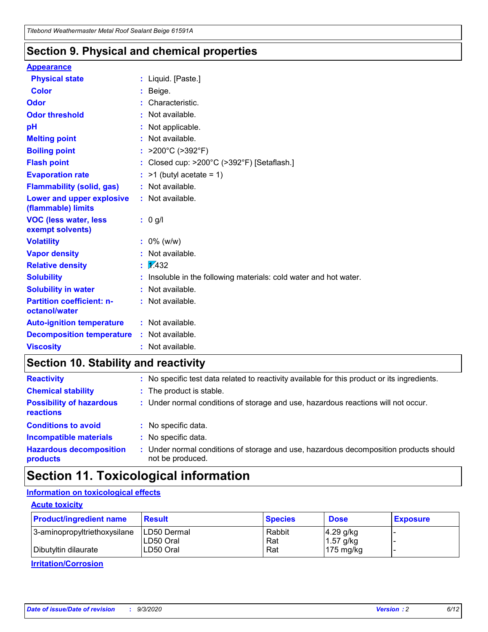### **Section 9. Physical and chemical properties**

#### **Appearance**

| <b>Physical state</b>                             | : Liquid. [Paste.]                                              |
|---------------------------------------------------|-----------------------------------------------------------------|
| <b>Color</b>                                      | Beige.                                                          |
| Odor                                              | Characteristic.                                                 |
| <b>Odor threshold</b>                             | Not available.                                                  |
| рH                                                | Not applicable.                                                 |
| <b>Melting point</b>                              | : Not available.                                                |
| <b>Boiling point</b>                              | >200°C (>392°F)                                                 |
| <b>Flash point</b>                                | Closed cup: >200°C (>392°F) [Setaflash.]                        |
| <b>Evaporation rate</b>                           | $:$ >1 (butyl acetate = 1)                                      |
| <b>Flammability (solid, gas)</b>                  | : Not available.                                                |
| Lower and upper explosive<br>(flammable) limits   | : Not available.                                                |
| <b>VOC (less water, less)</b><br>exempt solvents) | : 0 g/l                                                         |
| <b>Volatility</b>                                 | $: 0\%$ (w/w)                                                   |
| <b>Vapor density</b>                              | Not available.                                                  |
| <b>Relative density</b>                           | $\mathbf{1}$ $\mathbf{\sqrt{432}}$                              |
| <b>Solubility</b>                                 | Insoluble in the following materials: cold water and hot water. |
| <b>Solubility in water</b>                        | Not available.                                                  |
| <b>Partition coefficient: n-</b><br>octanol/water | $:$ Not available.                                              |
| <b>Auto-ignition temperature</b>                  | : Not available.                                                |
| <b>Decomposition temperature</b>                  | : Not available.                                                |
| <b>Viscosity</b>                                  | $:$ Not available.                                              |

### **Section 10. Stability and reactivity**

| <b>Reactivity</b>                            |    | : No specific test data related to reactivity available for this product or its ingredients.            |
|----------------------------------------------|----|---------------------------------------------------------------------------------------------------------|
| <b>Chemical stability</b>                    |    | : The product is stable.                                                                                |
| <b>Possibility of hazardous</b><br>reactions |    | : Under normal conditions of storage and use, hazardous reactions will not occur.                       |
| <b>Conditions to avoid</b>                   |    | : No specific data.                                                                                     |
| <b>Incompatible materials</b>                | ٠. | No specific data.                                                                                       |
| <b>Hazardous decomposition</b><br>products   | ÷. | Under normal conditions of storage and use, hazardous decomposition products should<br>not be produced. |

# **Section 11. Toxicological information**

#### **Information on toxicological effects**

#### **Acute toxicity**

| <b>Product/ingredient name</b> | <b>Result</b>           | <b>Species</b> | <b>Dose</b>                | <b>Exposure</b> |
|--------------------------------|-------------------------|----------------|----------------------------|-----------------|
| 3-aminopropyltriethoxysilane   | <b>ILD50 Dermal</b>     | Rabbit         | 4.29 g/kg                  |                 |
| Dibutyltin dilaurate           | ILD50 Oral<br>LD50 Oral | Rat<br>Rat     | $1.57$ g/kg<br>175 $mg/kg$ |                 |
|                                |                         |                |                            |                 |

**Irritation/Corrosion**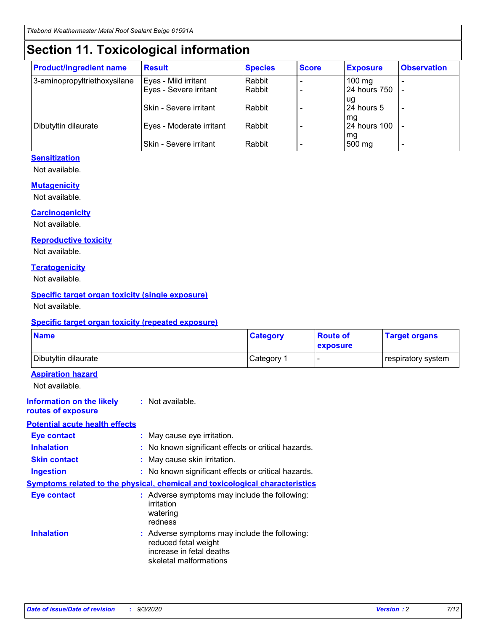# **Section 11. Toxicological information**

| <b>Product/ingredient name</b> | <b>Result</b>                 | <b>Species</b> | <b>Score</b> | <b>Exposure</b>    | <b>Observation</b>       |
|--------------------------------|-------------------------------|----------------|--------------|--------------------|--------------------------|
| 3-aminopropyltriethoxysilane   | Eyes - Mild irritant          | Rabbit         |              | $100 \text{ mg}$   |                          |
|                                | Eyes - Severe irritant        | Rabbit         |              | 24 hours 750       |                          |
|                                |                               |                |              | ug                 |                          |
|                                | <b>Skin - Severe irritant</b> | Rabbit         |              | 24 hours 5         | $\overline{\phantom{0}}$ |
| Dibutyltin dilaurate           | Eyes - Moderate irritant      | Rabbit         |              | mg<br>24 hours 100 |                          |
|                                |                               |                |              | mg                 |                          |
|                                | Skin - Severe irritant        | Rabbit         |              | 500 mg             | -                        |

#### **Sensitization**

Not available.

#### **Mutagenicity**

Not available.

#### **Carcinogenicity**

Not available.

#### **Reproductive toxicity**

Not available.

#### **Teratogenicity**

Not available.

#### **Specific target organ toxicity (single exposure)**

Not available.

#### **Specific target organ toxicity (repeated exposure)**

| <b>Name</b>                                                                         |                                                                            | <b>Category</b>                                     | <b>Route of</b><br>exposure | <b>Target organs</b> |
|-------------------------------------------------------------------------------------|----------------------------------------------------------------------------|-----------------------------------------------------|-----------------------------|----------------------|
| Dibutyltin dilaurate                                                                |                                                                            | Category 1                                          | -                           | respiratory system   |
| <b>Aspiration hazard</b><br>Not available.                                          |                                                                            |                                                     |                             |                      |
| <b>Information on the likely</b><br>routes of exposure                              | : Not available.                                                           |                                                     |                             |                      |
| <b>Potential acute health effects</b>                                               |                                                                            |                                                     |                             |                      |
| <b>Eye contact</b>                                                                  | : May cause eye irritation.                                                |                                                     |                             |                      |
| <b>Inhalation</b>                                                                   |                                                                            | : No known significant effects or critical hazards. |                             |                      |
| <b>Skin contact</b>                                                                 | : May cause skin irritation.                                               |                                                     |                             |                      |
| <b>Ingestion</b>                                                                    |                                                                            | : No known significant effects or critical hazards. |                             |                      |
| <b>Symptoms related to the physical, chemical and toxicological characteristics</b> |                                                                            |                                                     |                             |                      |
| <b>Eye contact</b>                                                                  | irritation<br>watering<br>redness                                          | : Adverse symptoms may include the following:       |                             |                      |
| <b>Inhalation</b>                                                                   | reduced fetal weight<br>increase in fetal deaths<br>skeletal malformations | : Adverse symptoms may include the following:       |                             |                      |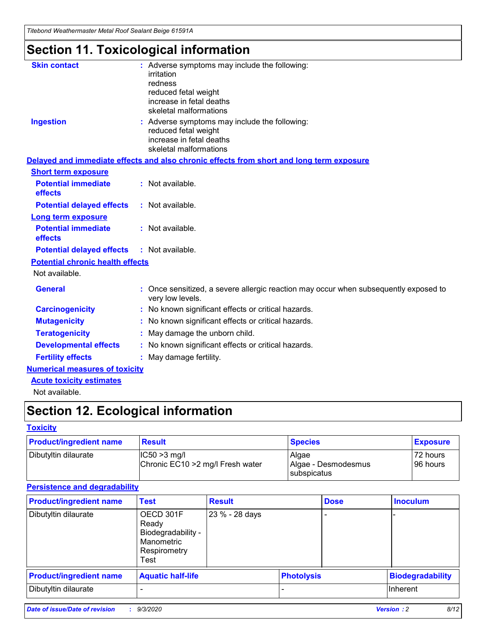*Titebond Weathermaster Metal Roof Sealant Beige 61591A*

# **Section 11. Toxicological information**

| <b>Skin contact</b>                     | : Adverse symptoms may include the following:<br>irritation<br>redness<br>reduced fetal weight<br>increase in fetal deaths<br>skeletal malformations |
|-----------------------------------------|------------------------------------------------------------------------------------------------------------------------------------------------------|
| <b>Ingestion</b>                        | : Adverse symptoms may include the following:<br>reduced fetal weight<br>increase in fetal deaths<br>skeletal malformations                          |
|                                         | Delayed and immediate effects and also chronic effects from short and long term exposure                                                             |
| <b>Short term exposure</b>              |                                                                                                                                                      |
| <b>Potential immediate</b><br>effects   | : Not available.                                                                                                                                     |
| <b>Potential delayed effects</b>        | : Not available.                                                                                                                                     |
| <b>Long term exposure</b>               |                                                                                                                                                      |
| <b>Potential immediate</b><br>effects   | : Not available.                                                                                                                                     |
| <b>Potential delayed effects</b>        | : Not available.                                                                                                                                     |
| <b>Potential chronic health effects</b> |                                                                                                                                                      |
| Not available.                          |                                                                                                                                                      |
| <b>General</b>                          | : Once sensitized, a severe allergic reaction may occur when subsequently exposed to<br>very low levels.                                             |
| <b>Carcinogenicity</b>                  | : No known significant effects or critical hazards.                                                                                                  |
| <b>Mutagenicity</b>                     | No known significant effects or critical hazards.                                                                                                    |
| <b>Teratogenicity</b>                   | May damage the unborn child.                                                                                                                         |
| <b>Developmental effects</b>            | : No known significant effects or critical hazards.                                                                                                  |
| <b>Fertility effects</b>                | May damage fertility.                                                                                                                                |
| <b>Numerical measures of toxicity</b>   |                                                                                                                                                      |
| <b>Acute toxicity estimates</b>         |                                                                                                                                                      |
| Not available.                          |                                                                                                                                                      |

# **Section 12. Ecological information**

#### **Toxicity**

| <b>Product/ingredient name</b> | <b>Result</b>                                       | <b>Species</b>               | <b>Exposure</b>       |
|--------------------------------|-----------------------------------------------------|------------------------------|-----------------------|
| Dibutyltin dilaurate           | $ IC50>3$ mg/l<br>Chronic EC10 > 2 mg/l Fresh water | Algae<br>Algae - Desmodesmus | 72 hours<br>196 hours |
|                                |                                                     | subspicatus                  |                       |

#### **Persistence and degradability**

| <b>Product/ingredient name</b> | <b>Test</b>                                                                    | <b>Result</b>  |                   | <b>Dose</b> | <b>Inoculum</b>         |
|--------------------------------|--------------------------------------------------------------------------------|----------------|-------------------|-------------|-------------------------|
| Dibutyltin dilaurate           | OECD 301F<br>Ready<br>Biodegradability -<br>Manometric<br>Respirometry<br>Test | 23 % - 28 days |                   |             |                         |
| <b>Product/ingredient name</b> | <b>Aquatic half-life</b>                                                       |                | <b>Photolysis</b> |             | <b>Biodegradability</b> |
| Dibutyltin dilaurate           |                                                                                |                |                   |             | <b>Inherent</b>         |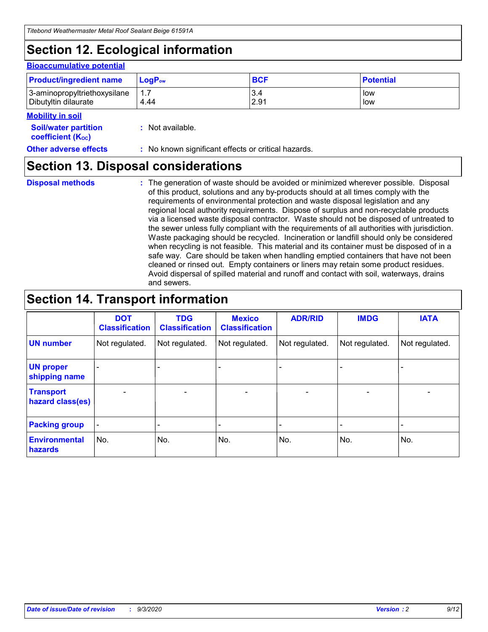# **Section 12. Ecological information**

#### **Bioaccumulative potential**

| <b>Product/ingredient name</b> | $\mathsf{LogP}_\mathsf{ow}$ | <b>BCF</b> | <b>Potential</b> |
|--------------------------------|-----------------------------|------------|------------------|
| 3-aminopropyltriethoxysilane   | 1.7                         | 3.4        | low              |
| Dibutyltin dilaurate           | 4.44                        | 2.91       | low              |

#### **Mobility in soil**

| <b>Soil/water partition</b> | : Not available. |
|-----------------------------|------------------|
| <b>coefficient (Koc)</b>    |                  |

### **Section 13. Disposal considerations**

**Disposal methods :**

The generation of waste should be avoided or minimized wherever possible. Disposal of this product, solutions and any by-products should at all times comply with the requirements of environmental protection and waste disposal legislation and any regional local authority requirements. Dispose of surplus and non-recyclable products via a licensed waste disposal contractor. Waste should not be disposed of untreated to the sewer unless fully compliant with the requirements of all authorities with jurisdiction. Waste packaging should be recycled. Incineration or landfill should only be considered when recycling is not feasible. This material and its container must be disposed of in a safe way. Care should be taken when handling emptied containers that have not been cleaned or rinsed out. Empty containers or liners may retain some product residues. Avoid dispersal of spilled material and runoff and contact with soil, waterways, drains and sewers.

# **Section 14. Transport information**

|                                      | <b>DOT</b><br><b>Classification</b> | <b>TDG</b><br><b>Classification</b> | <b>Mexico</b><br><b>Classification</b> | <b>ADR/RID</b>           | <b>IMDG</b>              | <b>IATA</b>    |
|--------------------------------------|-------------------------------------|-------------------------------------|----------------------------------------|--------------------------|--------------------------|----------------|
| <b>UN number</b>                     | Not regulated.                      | Not regulated.                      | Not regulated.                         | Not regulated.           | Not regulated.           | Not regulated. |
| <b>UN proper</b><br>shipping name    |                                     |                                     |                                        |                          |                          |                |
| <b>Transport</b><br>hazard class(es) |                                     | $\overline{\phantom{0}}$            | $\qquad \qquad \blacksquare$           | $\overline{\phantom{0}}$ | $\overline{\phantom{0}}$ |                |
| <b>Packing group</b>                 |                                     |                                     |                                        |                          |                          |                |
| <b>Environmental</b><br>hazards      | No.                                 | No.                                 | No.                                    | No.                      | No.                      | No.            |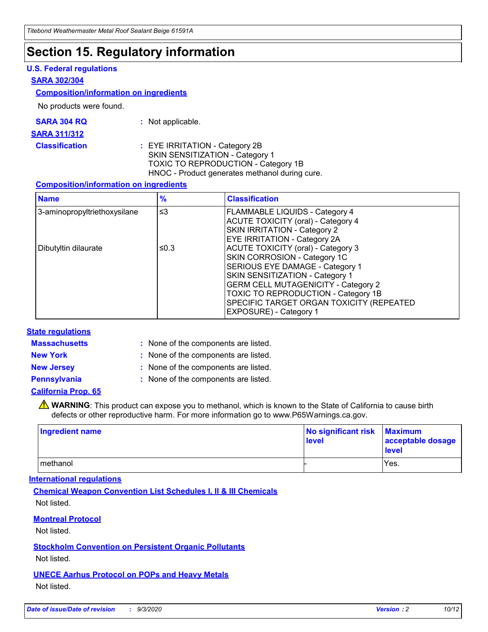## **Section 15. Regulatory information**

#### **U.S. Federal regulations**

#### **SARA 302/304**

#### **Composition/information on ingredients**

No products were found.

| SARA 304 RQ | Not applicable. |
|-------------|-----------------|
|-------------|-----------------|

#### **SARA 311/312**

**Classification :** EYE IRRITATION - Category 2B SKIN SENSITIZATION - Category 1 TOXIC TO REPRODUCTION - Category 1B HNOC - Product generates methanol during cure.

#### **Composition/information on ingredients**

| <b>Name</b>                  | $\frac{9}{6}$ | <b>Classification</b>                                                                                                                                                                                                                                                                                      |
|------------------------------|---------------|------------------------------------------------------------------------------------------------------------------------------------------------------------------------------------------------------------------------------------------------------------------------------------------------------------|
| 3-aminopropyltriethoxysilane | $\leq$ 3      | <b>FLAMMABLE LIQUIDS - Category 4</b><br><b>ACUTE TOXICITY (oral) - Category 4</b><br><b>SKIN IRRITATION - Category 2</b><br>EYE IRRITATION - Category 2A                                                                                                                                                  |
| Dibutyltin dilaurate         | ≤0.3          | <b>ACUTE TOXICITY (oral) - Category 3</b><br>SKIN CORROSION - Category 1C<br>SERIOUS EYE DAMAGE - Category 1<br>SKIN SENSITIZATION - Category 1<br><b>GERM CELL MUTAGENICITY - Category 2</b><br>TOXIC TO REPRODUCTION - Category 1B<br>SPECIFIC TARGET ORGAN TOXICITY (REPEATED<br>EXPOSURE) - Category 1 |

#### **State regulations**

**Massachusetts :**

: None of the components are listed.

**New York :** None of the components are listed. **New Jersey :** None of the components are listed.

**Pennsylvania :** None of the components are listed.

#### **California Prop. 65**

WARNING: This product can expose you to methanol, which is known to the State of California to cause birth defects or other reproductive harm. For more information go to www.P65Warnings.ca.gov.

| Ingredient name | No significant risk<br>level | <b>Maximum</b><br>acceptable dosage<br>level |
|-----------------|------------------------------|----------------------------------------------|
| methanol        |                              | Yes.                                         |

#### **International regulations**

**Chemical Weapon Convention List Schedules I, II & III Chemicals** Not listed.

#### **Montreal Protocol**

Not listed.

**Stockholm Convention on Persistent Organic Pollutants**

Not listed.

#### **UNECE Aarhus Protocol on POPs and Heavy Metals** Not listed.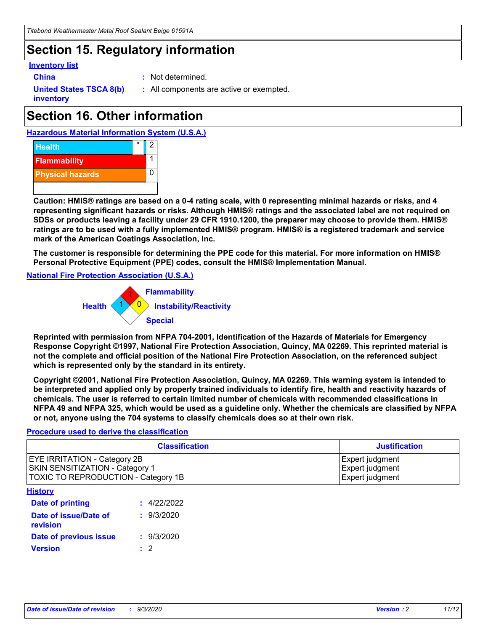# **Section 15. Regulatory information**

#### **Inventory list**

- 
- **China :** Not determined.

**United States TSCA 8(b) inventory**

**:** All components are active or exempted.

# **Section 16. Other information**





**Caution: HMIS® ratings are based on a 0-4 rating scale, with 0 representing minimal hazards or risks, and 4 representing significant hazards or risks. Although HMIS® ratings and the associated label are not required on SDSs or products leaving a facility under 29 CFR 1910.1200, the preparer may choose to provide them. HMIS® ratings are to be used with a fully implemented HMIS® program. HMIS® is a registered trademark and service mark of the American Coatings Association, Inc.**

**The customer is responsible for determining the PPE code for this material. For more information on HMIS® Personal Protective Equipment (PPE) codes, consult the HMIS® Implementation Manual.**

**National Fire Protection Association (U.S.A.)**



**Reprinted with permission from NFPA 704-2001, Identification of the Hazards of Materials for Emergency Response Copyright ©1997, National Fire Protection Association, Quincy, MA 02269. This reprinted material is not the complete and official position of the National Fire Protection Association, on the referenced subject which is represented only by the standard in its entirety.**

**Copyright ©2001, National Fire Protection Association, Quincy, MA 02269. This warning system is intended to be interpreted and applied only by properly trained individuals to identify fire, health and reactivity hazards of chemicals. The user is referred to certain limited number of chemicals with recommended classifications in NFPA 49 and NFPA 325, which would be used as a guideline only. Whether the chemicals are classified by NFPA or not, anyone using the 704 systems to classify chemicals does so at their own risk.**

#### **Procedure used to derive the classification**

| <b>Classification</b>                                                                                         | <b>Justification</b>                                  |
|---------------------------------------------------------------------------------------------------------------|-------------------------------------------------------|
| <b>EYE IRRITATION - Category 2B</b><br>SKIN SENSITIZATION - Category 1<br>TOXIC TO REPRODUCTION - Category 1B | Expert judgment<br>Expert judgment<br>Expert judgment |
| <b>History</b>                                                                                                |                                                       |

| .                                 |             |
|-----------------------------------|-------------|
| <b>Date of printing</b>           | : 4/22/2022 |
| Date of issue/Date of<br>revision | : 9/3/2020  |
| Date of previous issue            | : 9/3/2020  |
| <b>Version</b>                    | $\cdot$ 2   |
|                                   |             |